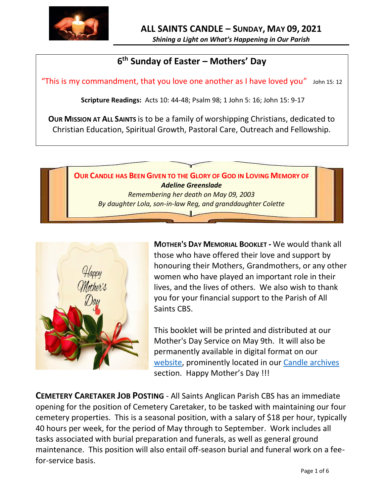

*Shining a Light on What's Happening in Our Parish*

# **6 th Sunday of Easter – Mothers' Day**

"This is my commandment, that you love one another as I have loved you" John 15: 12

**Scripture Readings:** Acts 10: 44-48; Psalm 98; 1 John 5: 16; John 15: 9-17

**OUR MISSION AT ALL SAINTS** is to be a family of worshipping Christians, dedicated to Christian Education, Spiritual Growth, Pastoral Care, Outreach and Fellowship.





**MOTHER'S DAY MEMORIAL BOOKLET -** We would thank all those who have offered their love and support by honouring their Mothers, Grandmothers, or any other women who have played an important role in their lives, and the lives of others. We also wish to thank you for your financial support to the Parish of All Saints CBS.

This booklet will be printed and distributed at our Mother's Day Service on May 9th. It will also be permanently available in digital format on our [website,](allsaintsparish.ca) prominently located in our [Candle archives](http://allsaintsparish.ca/thecandle.html) section. Happy Mother's Day !!!

**CEMETERY CARETAKER JOB POSTING** - All Saints Anglican Parish CBS has an immediate opening for the position of Cemetery Caretaker, to be tasked with maintaining our four cemetery properties. This is a seasonal position, with a salary of \$18 per hour, typically 40 hours per week, for the period of May through to September. Work includes all tasks associated with burial preparation and funerals, as well as general ground maintenance. This position will also entail off-season burial and funeral work on a feefor-service basis.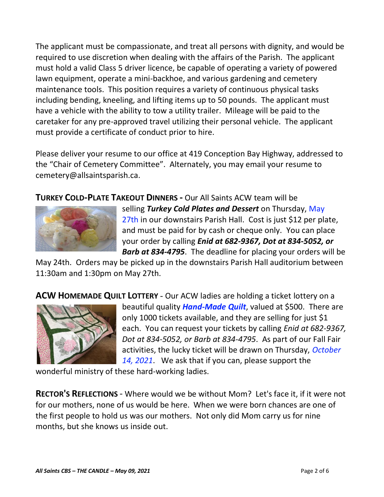The applicant must be compassionate, and treat all persons with dignity, and would be required to use discretion when dealing with the affairs of the Parish. The applicant must hold a valid Class 5 driver licence, be capable of operating a variety of powered lawn equipment, operate a mini-backhoe, and various gardening and cemetery maintenance tools. This position requires a variety of continuous physical tasks including bending, kneeling, and lifting items up to 50 pounds. The applicant must have a vehicle with the ability to tow a utility trailer. Mileage will be paid to the caretaker for any pre-approved travel utilizing their personal vehicle. The applicant must provide a certificate of conduct prior to hire.

Please deliver your resume to our office at 419 Conception Bay Highway, addressed to the "Chair of Cemetery Committee". Alternately, you may email your resume to cemetery@allsaintsparish.ca.

**TURKEY COLD-PLATE TAKEOUT DINNERS -** Our All Saints ACW team will be



selling *Turkey Cold Plates and Dessert* on Thursday, May 27th in our downstairs Parish Hall. Cost is just \$12 per plate, and must be paid for by cash or cheque only. You can place your order by calling *Enid at 682-9367, Dot at 834-5052, or Barb at 834-4795*. The deadline for placing your orders will be

May 24th. Orders may be picked up in the downstairs Parish Hall auditorium between 11:30am and 1:30pm on May 27th.

**ACW HOMEMADE QUILT LOTTERY** - Our ACW ladies are holding a ticket lottery on a



beautiful quality *Hand-Made Quilt*, valued at \$500. There are only 1000 tickets available, and they are selling for just \$1 each. You can request your tickets by calling *Enid at 682-9367, Dot at 834-5052, or Barb at 834-4795*. As part of our Fall Fair activities, the lucky ticket will be drawn on Thursday, *October 14, 2021*. We ask that if you can, please support the

wonderful ministry of these hard-working ladies.

**RECTOR'S REFLECTIONS** - Where would we be without Mom? Let's face it, if it were not for our mothers, none of us would be here. When we were born chances are one of the first people to hold us was our mothers. Not only did Mom carry us for nine months, but she knows us inside out.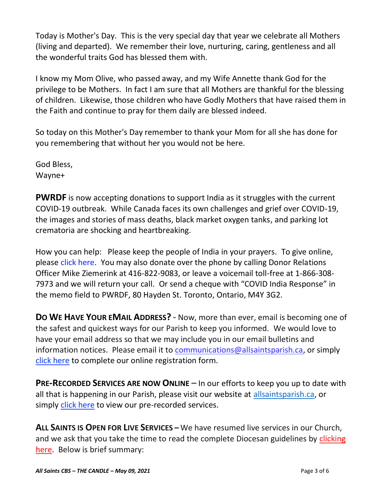Today is Mother's Day. This is the very special day that year we celebrate all Mothers (living and departed). We remember their love, nurturing, caring, gentleness and all the wonderful traits God has blessed them with.

I know my Mom Olive, who passed away, and my Wife Annette thank God for the privilege to be Mothers. In fact I am sure that all Mothers are thankful for the blessing of children. Likewise, those children who have Godly Mothers that have raised them in the Faith and continue to pray for them daily are blessed indeed.

So today on this Mother's Day remember to thank your Mom for all she has done for you remembering that without her you would not be here.

God Bless, Wayne+

**PWRDF** is now accepting donations to support India as it struggles with the current COVID-19 outbreak. While Canada faces its own challenges and grief over COVID-19, the images and stories of mass deaths, black market oxygen tanks, and parking lot crematoria are shocking and heartbreaking.

How you can help: Please keep the people of India in your prayers. To give online, please [click here.](https://interland3.donorperfect.net/weblink/WebLink.aspx?name=E344492QE&id=29) You may also donate over the phone by calling Donor Relations Officer Mike Ziemerink at 416-822-9083, or leave a voicemail toll-free at 1-866-308- 7973 and we will return your call. Or send a cheque with "COVID India Response" in the memo field to PWRDF, 80 Hayden St. Toronto, Ontario, M4Y 3G2.

**DO WE HAVE YOUR EMAIL ADDRESS?** - Now, more than ever, email is becoming one of the safest and quickest ways for our Parish to keep you informed. We would love to have your email address so that we may include you in our email bulletins and information notices. Please email it to [communications@allsaintsparish.ca,](mailto:communications@allsaintsparish.ca?subject=eMail%20Address%20Update) or simply [click here](http://allsaintsparish.ca/email_updates) to complete our online registration form.

**PRE-RECORDED SERVICES ARE NOW ONLINE** – In our efforts to keep you up to date with all that is happening in our Parish, please visit our website at [allsaintsparish.ca,](http://allsaintsparish.ca/) or simply [click here](http://allsaintsparish.ca/recorded-church-services) to view our pre-recorded services.

**ALL SAINTS IS OPEN FOR LIVE SERVICES –** We have resumed live services in our Church, and we ask that you take the time to read the complete Diocesan guidelines by clicking [here.](http://allsaintsparish.ca/document_library/COVID-19/210324%20COVID-19%20Revised%20Alert%20Level%202%20effective%20March%2027%202021.pdf) Below is brief summary: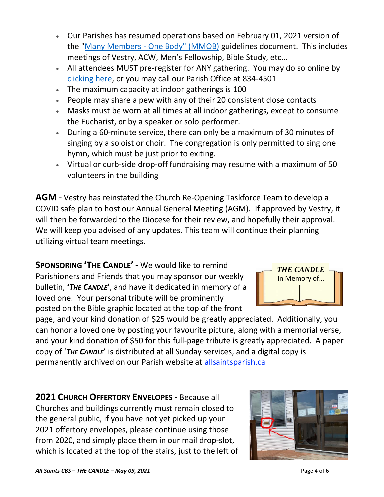the "Many Members - [One Body" \(MMOB\)](https://anglicanenl.net/home/wp-content/uploads/2021/02/Many-Members-One-Body-February-2021.pdf) guidelines document. This includes meetings of Vestry, ACW, Men's Fellowship, Bible Study, etc… • All attendees MUST pre-register for ANY gathering. You may do so online by

• Our Parishes has resumed operations based on February 01, 2021 version of

- [clicking here,](http://allsaintsparish.ca/covid-pre-registration-form) or you may call our Parish Office at 834-4501
- The maximum capacity at indoor gatherings is 100
- People may share a pew with any of their 20 consistent close contacts
- Masks must be worn at all times at all indoor gatherings, except to consume the Eucharist, or by a speaker or solo performer.
- During a 60-minute service, there can only be a maximum of 30 minutes of singing by a soloist or choir. The congregation is only permitted to sing one hymn, which must be just prior to exiting.
- Virtual or curb-side drop-off fundraising may resume with a maximum of 50 volunteers in the building

**AGM** - Vestry has reinstated the Church Re-Opening Taskforce Team to develop a COVID safe plan to host our Annual General Meeting (AGM). If approved by Vestry, it will then be forwarded to the Diocese for their review, and hopefully their approval. We will keep you advised of any updates. This team will continue their planning utilizing virtual team meetings.

**SPONSORING 'THE CANDLE'** - We would like to remind Parishioners and Friends that you may sponsor our weekly bulletin, **'***THE CANDLE***'**, and have it dedicated in memory of a loved one. Your personal tribute will be prominently posted on the Bible graphic located at the top of the front

page, and your kind donation of \$25 would be greatly appreciated. Additionally, you can honor a loved one by posting your favourite picture, along with a memorial verse, and your kind donation of \$50 for this full-page tribute is greatly appreciated. A paper copy of '*THE CANDLE*' is distributed at all Sunday services, and a digital copy is permanently archived on our Parish website at [allsaintsparish.ca](http://allsaintsparish.ca/thecandle.html)

**2021 CHURCH OFFERTORY ENVELOPES** - Because all Churches and buildings currently must remain closed to the general public, if you have not yet picked up your 2021 offertory envelopes, please continue using those from 2020, and simply place them in our mail drop-slot, which is located at the top of the stairs, just to the left of



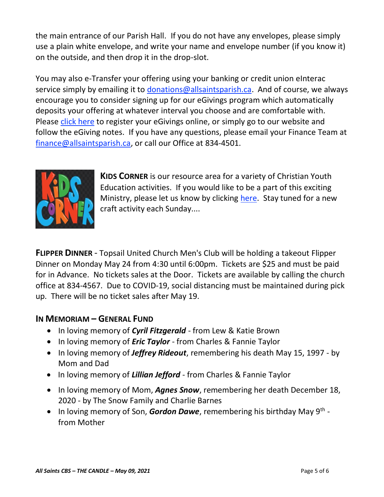the main entrance of our Parish Hall. If you do not have any envelopes, please simply use a plain white envelope, and write your name and envelope number (if you know it) on the outside, and then drop it in the drop-slot.

You may also e-Transfer your offering using your banking or credit union eInterac service simply by emailing it to [donations@allsaintsparish.ca.](mailto:donations@allsaintsparish.ca) And of course, we always encourage you to consider signing up for our eGivings program which automatically deposits your offering at whatever interval you choose and are comfortable with. Please [click here](http://allsaintsparish.ca/egiving-online-information-form) to register your eGivings online, or simply go to our website and follow the eGiving notes. If you have [any](https://wfsites-to.websitecreatorprotool.com/870a5dd5.com/Admin/%7BSK_NODEID__22939341__SK%7D) questions, please email your Finance Team at [finance@allsaintsparish.ca,](mailto:finance@allsaintsparish.ca) or call our Office at 834-4501.



**KIDS CORNER** is our resource area for a variety of Christian Youth Education activities. If you would like to be a part of this exciting Ministry, please let us know by clicking [here.](http://allsaintsparish.ca/index.html#comments) Stay tuned for a new craft activity each Sunday....

**FLIPPER DINNER** - Topsail United Church Men's Club will be holding a takeout Flipper Dinner on Monday May 24 from 4:30 until 6:00pm. Tickets are \$25 and must be paid for in Advance. No tickets sales at the Door. Tickets are available by calling the church office at 834-4567. Due to COVID-19, social distancing must be maintained during pick up. There will be no ticket sales after May 19.

## **IN MEMORIAM – GENERAL FUND**

- In loving memory of *Cyril Fitzgerald* from Lew & Katie Brown
- In loving memory of *Eric Taylor* from Charles & Fannie Taylor
- In loving memory of *Jeffrey Rideout*, remembering his death May 15, 1997 by Mom and Dad
- In loving memory of *Lillian Jefford* from Charles & Fannie Taylor
- In loving memory of Mom, *Agnes Snow*, remembering her death December 18, 2020 - by The Snow Family and Charlie Barnes
- In loving memory of Son, *Gordon Dawe*, remembering his birthday May 9<sup>th</sup> from Mother